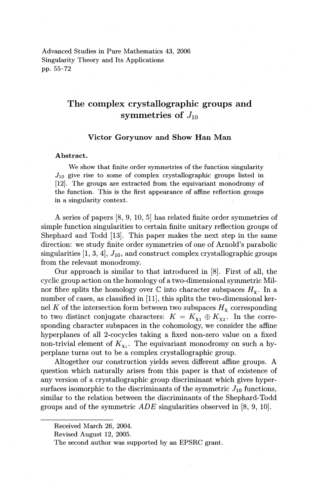Advanced Studies in Pure Mathematics 43, 2006 Singularity Theory and Its Applications pp. 55-72

# The complex crystallographic groups and symmetries of J*<sup>10</sup>*

# Victor Goryunov and Show Han Man

# Abstract.

We show that finite order symmetries of the function singularity  $J_{10}$  give rise to some of complex crystallographic groups listed in (12]. The groups are extracted from the equivariant monodromy of the function. This is the first appearance of affine reflection groups in a singularity context.

A series of papers [8, 9, 10, 5] has related finite order symmetries of simple function singularities to certain finite unitary reflection groups of Shephard and Todd [13]. This paper makes the next step in the same direction: we study finite order symmetries of one of Arnold's parabolic singularities  $[1, 3, 4]$ ,  $J_{10}$ , and construct complex crystallographic groups from the relevant monodromy.

Our approach is similar to that introduced in [8]. First of all, the cyclic group action on the homology of a two-dimensional symmetric Milnor fibre splits the homology over  $\mathbb C$  into character subspaces  $H_{\chi}$ . In a number of cases, as classified in [11], this splits the two-dimensional kernel *K* of the intersection form between two subspaces  $H<sub>x</sub>$  corresponding to two distinct conjugate characters:  $K = K_{\chi_1} \oplus K_{\chi_2}$ . In the corresponding character subspaces in the cohomology, we consider the affine hyperplanes of all 2-cocycles taking a fixed non-zero value on a fixed non-trivial element of  $K_{\chi_i}$ . The equivariant monodromy on such a hyperplane turns out to be a complex crystallographic group.

Altogether our construction yields seven different affine groups. A question which naturally arises from this paper is that of existence of any version of a crystallographic group discriminant which gives hypersurfaces isomorphic to the discriminants of the symmetric  $J_{10}$  functions, similar to the relation between the discriminants of the Shephard-Todd groups and of the symmetric ADE singularities observed in [8, 9, 10].

Received March 26, 2004.

Revised August 12, 2005.

The second author *was* supported by an EPSRC grant.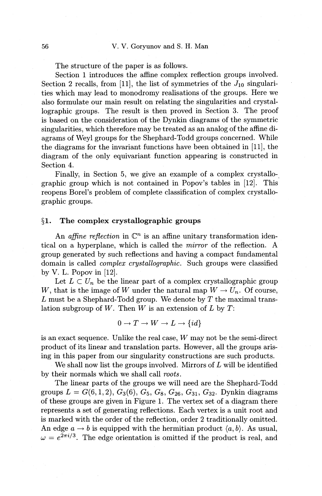The structure of the paper is as follows.

Section 1 introduces the affine complex reflection groups involved. Section 2 recalls, from [11], the list of symmetries of the  $J_{10}$  singularities which may lead to monodromy realisations of the groups. Here we also formulate our main result on relating the singularities and crystallographic groups. The result is then proved in Section 3. The proof is based on the consideration of the Dynkin diagrams of the symmetric singularities, which therefore may be treated as an analog of the affine diagrams of Weyl groups for the Shephard-Todd groups concerned. While the diagrams for the invariant functions have been obtained in [11], the diagram of the only equivariant function appearing is constructed in Section 4.

Finally, in Section 5, we give an example of a complex crystallographic group which is not contained in Popov's tables in [12]. This reopens Borel's problem of complete classification of complex crystallographic groups.

# §1. The complex crystallographic groups

An *affine reflection* in  $\mathbb{C}^n$  is an affine unitary transformation identical on a hyperplane, which is called the *mirror* of the reflection. A group generated by such reflections and having a compact fundamental domain is called *complex crystallographic.* Such groups were classified by V. L. Popov in [12].

Let  $L \subset U_n$  be the linear part of a complex crystallographic group *W*, that is the image of W under the natural map  $W \to U_n$ . Of course, L must be a Shephard-Todd group. We denote by T the maximal translation subgroup of *W.* Then *W* is an extension of *L* by *T:* 

$$
0 \to T \to W \to L \to \{id\}
$$

is an exact sequence. Unlike the real case, *W* may not be the semi-direct product of its linear and translation parts. However, all the groups arising in this paper from our singularity constructions are such products.

We shall now list the groups involved. Mirrors of L will be identified by their normals which we shall call *roots.* 

The linear parts of the groups we will need are the Shephard-Todd groups  $L = G(6, 1, 2), G_3(6), G_5, G_8, G_{26}, G_{31}, G_{32}$ . Dynkin diagrams of these groups are given in Figure 1. The vertex set of a diagram there represents a set of generating reflections. Each vertex is a unit root and is marked with the order of the reflection, order 2 traditionally omitted. An edge  $a \rightarrow b$  is equipped with the hermitian product  $\langle a, b \rangle$ . As usual,  $\omega = e^{2\pi i/3}$ . The edge orientation is omitted if the product is real, and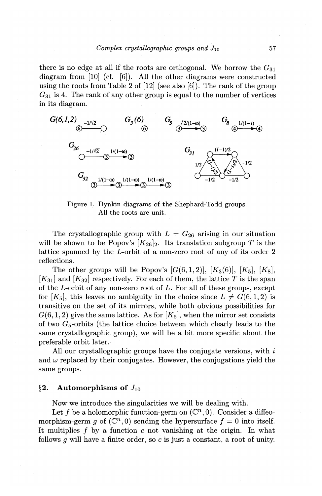there is no edge at all if the roots are orthogonal. We borrow the  $G_{31}$ diagram from [10] (cf. [6]). All the other diagrams were constructed using the roots from Table 2 of  $[12]$  (see also  $[6]$ ). The rank of the group  $G_{31}$  is 4. The rank of any other group is equal to the number of vertices in its diagram.



Figure 1. Dynkin diagrams of the Shephard-Todd groups. All the roots are unit.

The crystallographic group with  $L = G_{26}$  arising in our situation will be shown to be Popov's  $[K_{26}]_2$ . Its translation subgroup *T* is the lattice spanned by the £-orbit of a non-zero root of any of its order 2 reflections.

The other groups will be Popov's  $[G(6, 1, 2)], [K_3(6)], [K_5], [K_8],$  $[K_{31}]$  and  $[K_{32}]$  respectively. For each of them, the lattice T is the span of the £-orbit of any non-zero root of *L.* For all of these groups, except for  $[K_5]$ , this leaves no ambiguity in the choice since  $L \neq G(6, 1, 2)$  is transitive on the set of its mirrors, while both obvious possibilities for  $G(6, 1, 2)$  give the same lattice. As for  $[K_5]$ , when the mirror set consists of two  $G<sub>5</sub>$ -orbits (the lattice choice between which clearly leads to the same crystallographic group), we will be a bit more specific about the preferable orbit later.

All our crystallographic groups have the conjugate versions, with  $i$ and  $\omega$  replaced by their conjugates. However, the conjugations yield the same groups.

# **§2. Automorphisms of** J*<sup>10</sup>*

Now we introduce the singularities we will be dealing with.

Let f be a holomorphic function-germ on  $(\mathbb{C}^n,0)$ . Consider a diffeomorphism-germ q of  $(\mathbb{C}^n, 0)$  sending the hypersurface  $f = 0$  into itself. It multiplies  $f$  by a function  $c$  not vanishing at the origin. In what follows g will have a finite order, so c is just a constant, a root of unity.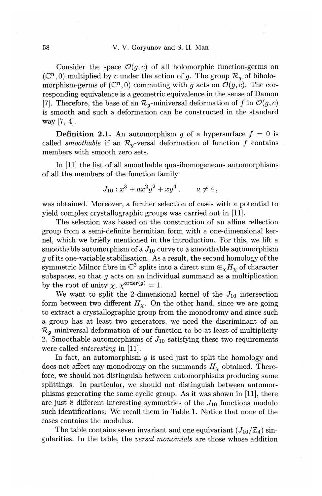Consider the space  $\mathcal{O}(q, c)$  of all holomorphic function-germs on  $(\mathbb{C}^n, 0)$  multiplied by *c* under the action of *g*. The group  $\mathcal{R}_q$  of biholomorphism-germs of  $(\mathbb{C}^n, 0)$  commuting with *g* acts on  $\mathcal{O}(g, c)$ . The corresponding equivalence is a geometric equivalence in the sense of Damon [7]. Therefore, the base of an  $\mathcal{R}_q$ -miniversal deformation of f in  $\mathcal{O}(q,c)$ is smooth and such a deformation can be constructed in the standard way [7, 4].

**Definition 2.1.** An automorphism g of a hypersurface  $f = 0$  is called *smoothable* if an  $\mathcal{R}_{q}$ -versal deformation of function f contains members with smooth zero sets.

In [11] the list of all smoothable quasihomogeneous automorphisms of all the members of the function family

$$
J_{10}: x^3 + ax^2y^2 + xy^4, \qquad a \neq 4,
$$

was obtained. Moreover, a further selection of cases with a potential to yield complex crystallographic groups was carried out in [11].

The selection was based on the construction of an affine reflection group from a semi-definite hermitian form with a one-dimensional kernel, which we briefly mentioned in the introduction. For this, we lift a smoothable automorphism of a  $J_{10}$  curve to a smoothable automorphism g of its one-variable stabilisation. As a result, the second homology of the symmetric Milnor fibre in  $\mathbb{C}^3$  splits into a direct sum  $\oplus_{\chi} H_{\chi}$  of character subspaces, so that  $g$  acts on an individual summand as a multiplication by the root of unity  $\chi$ ,  $\chi^{\text{order}(g)} = 1$ .

We want to split the 2-dimensional kernel of the  $J_{10}$  intersection form between two different  $H<sub>x</sub>$ . On the other hand, since we are going to extract a crystallographic group from the monodromy and since such a group has at least two generators, we need the discriminant of an  $\mathcal{R}_q$ -miniversal deformation of our function to be at least of multiplicity 2. Smoothable automorphisms of  $J_{10}$  satisfying these two requirements were called *interesting* in [11].

In fact, an automorphism  $q$  is used just to split the homology and does not affect any monodromy on the summands  $H<sub>\chi</sub>$  obtained. Therefore, we should not distinguish between automorphisms producing same splittings. In particular, we should not distinguish between automorphisms generating the same cyclic group. As it was shown in [11], there are just 8 different interesting symmetries of the  $J_{10}$  functions modulo such identifications. We recall them in Table 1. Notice that none of the cases contains the modulus.

The table contains seven invariant and one equivariant  $(J_{10}/\mathbb{Z}_4)$  singularities. In the table, the *versal monomials* are those whose addition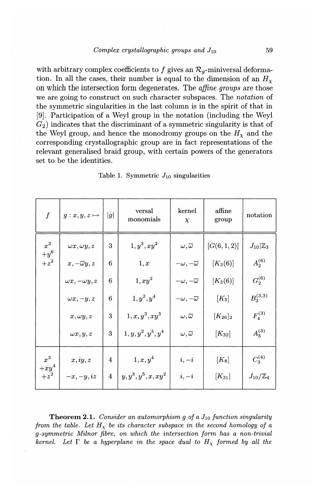with arbitrary complex coefficients to f gives an  $\mathcal{R}_{q}$ -miniversal deformation. In all the cases, their number is equal to the dimension of an  $H<sub>x</sub>$ on which the intersection form degenerates. The *affine groups* are those we are going to construct on such character subspaces. The *notation* of the symmetric singularities in the last column is in the spirit of that in [9]. Participation of a Weyl group in the notation (including the Weyl  $G<sub>2</sub>$ ) indicates that the discriminant of a symmetric singularity is that of the Weyl group, and hence the monodromy groups on the  $H_x$  and the corresponding crystallographic group are in fact representations of the relevant generalised braid group, with certain powers of the generators set to be the identities.

| $\boldsymbol{f}$ | $g: x, y, z \mapsto$        | g              | versal<br>monomials   | kernel<br>$\chi$              | affine<br>group        | notation              |
|------------------|-----------------------------|----------------|-----------------------|-------------------------------|------------------------|-----------------------|
| $x^3$<br>$+y^6$  | $\omega x, \omega y, z$     | 3              | $1, y^3, xy^2$        | $\omega, \overline{\omega}$   | [G(6,1,2)]             | $J_{10} \mathbb{Z}_3$ |
| $+z^2$           | $x, -\overline{\omega}y, z$ | 6              | 1, x                  | $-\omega, -\overline{\omega}$ | $[K_3(6)]$             | $A_2^{(6)}$           |
|                  | $\omega x, -\omega y, z$    | 6              | $1, xy^2$             | $-\omega, -\overline{\omega}$ | $[K_3(6)]$             | $G_2^{(6)}$           |
|                  | $\omega x, -y, z$           | 6              | $1, y^2, y^4$         | $-\omega, -\overline{\omega}$ | $[K_5]$                | $B_3^{(3,3)}$         |
|                  | $x, \omega y, z$            | 3              | $1, x, y^3, xy^3$     | $\omega, \overline{\omega}$   | $[K_{26}]_2$           | $F_4^{(3)}$           |
|                  | $\omega x, y, z$            | 3              | $1, y, y^2, y^3, y^4$ | $\omega, \overline{\omega}$   | $\lceil K_{32} \rceil$ | $A_5^{(3)}$           |
| $x^3$<br>$+xy^4$ | x, iy, z                    | 4              | $1, x, y^4$           | $i, -i$                       | $\left[K_8\right]$     | $C_3^{(4)}$           |
| $+z^2$           | $-x, -y, iz$                | $\overline{4}$ | $y,y^3,y^5,x,xy^2$    | $i, -i$                       | $\left[K_{31}\right]$  | $J_{10}/\mathbb{Z}_4$ |

Table 1. Symmetric  $J_{10}$  singularities

**Theorem 2.1.** *Consider an automorphism g of a J<sub>10</sub> function singularity from the table. Let*  $H_x$  *be its character subspace in the second homology of a g-symmetric Milnor fibre, on which the intersection form has a non-trivial kernel.* Let  $\Gamma$  *be a hyperplane in the space dual to*  $H_x$  formed by all the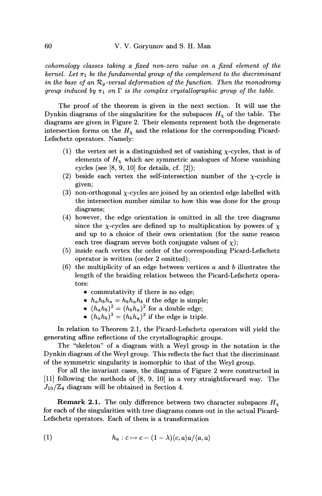### 60 V. V. Goryunov and S. **H.** Man

*cohomology classes taking a fixed non-zero value on a fixed element of the kernel. Let*  $\pi_1$  *be the fundamental group of the complement to the discriminant in the base of an*  $\mathcal{R}_q$ -versal deformation of the function. Then the monodromy *group induced by*  $\pi_1$  *on*  $\Gamma$  *is the complex crystallographic group of the table.* 

The proof of the theorem is given in the next section. It will use the Dynkin diagrams of the singularities for the subspaces  $H<sub>x</sub>$  of the table. The diagrams are given in Figure 2. Their elements represent both the degenerate intersection forms on the  $H<sub>\chi</sub>$  and the relations for the corresponding Picard-Lefschetz operators. Namely:

- (1) the vertex set is a distinguished set of vanishing  $\chi$ -cycles, that is of elements of  $H_{\chi}$  which are symmetric analogues of Morse vanishing cycles (see [8, 9, 10] for details, cf. [2]);
- (2) beside each vertex the self-intersection number of the  $\chi$ -cycle is given;
- (3) non-orthogonal *x-cycles* are joined by an oriented edge labelled with the intersection number similar to how this was done for the group diagrams;
- (4) however, the edge orientation is omitted in all the tree diagrams since the *x*-cycles are defined up to multiplication by powers of  $\chi$ and up to a choice of their own orientation (for the same reason each tree diagram serves both conjugate values of  $\chi$ );
- (5) inside each vertex the order of the corresponding Picard-Lefschetz operator is written (order 2 omitted);
- (6) the multiplicity of an edge between vertices *a* and *b* illustrates the length of the braiding relation between the Picard-Lefschetz operators:
	- commutativity if there is no edge;
	- $h_a h_b h_a = h_b h_a h_b$  if the edge is simple;
	- $(h_a h_b)^2 = (h_b h_a)^2$  for a double edge;
	- $(h_a h_b)^3 = (h_b h_a)^3$  if the edge is triple.

In relation to Theorem 2.1, the Picard-Lefschetz operators will yield the generating affine reflections of the crystallographic groups.

The "skeleton" of a diagram with a Weyl group in the notation is the Dynkin diagram of the Weyl group. This reflects the fact that the discriminant of the symmetric singularity is isomorphic to that of the Weyl group.

For all the invariant cases, the diagrams of Figure 2 were constructed in [11] following the methods of [8, 9, 10] in a very straightforward way. The  $J_{10}/\mathbb{Z}_4$  diagram will be obtained in Section 4.

**Remark 2.1.** The only difference between two character subspaces  $H<sub>x</sub>$ for each of the singularities with tree diagrams comes out in the actual Picard-Lefschetz operators. Each of them is a transformation

(1) 
$$
h_a: c \mapsto c - (1 - \lambda) \langle c, a \rangle a / \langle a, a \rangle
$$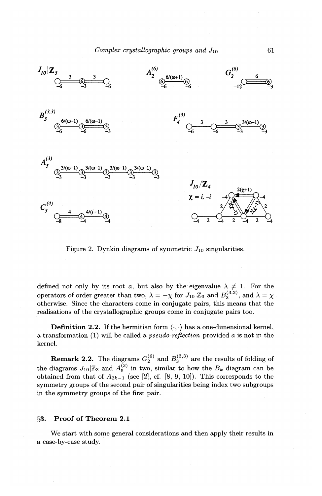

Figure 2. Dynkin diagrams of symmetric  $J_{10}$  singularities.

defined not only by its root *a*, but also by the eigenvalue  $\lambda \neq 1$ . For the operators of order greater than two,  $\lambda = -\chi$  for  $J_{10} | \mathbb{Z}_3$  and  $B_3^{(3,3)}$ , and  $\lambda = \chi$ otherwise. Since the characters come in conjugate pairs, this means that the realisations of the crystallographic groups come in conjugate pairs too.

**Definition 2.2.** If the hermitian form  $\langle \cdot, \cdot \rangle$  has a one-dimensional kernel, a transformation (1) will be called a *pseudo-reflection* provided *a* is not in the kernel.

**Remark 2.2.** The diagrams  $G_2^{(6)}$  and  $B_3^{(3,3)}$  are the results of folding of the diagrams  $J_{10}|\mathbb{Z}_3$  and  $A_5^{(3)}$  in two, similar to how the  $B_k$  diagram can be obtained from that of  $A_{2k-1}$  (see [2], cf. [8, 9, 10]). This corresponds to the symmetry groups of the second pair of singularities being index two subgroups in the symmetry groups of the first pair.

## §3. Proof of Theorem 2.1

We start with some general considerations and then apply their results in a case-by-case study.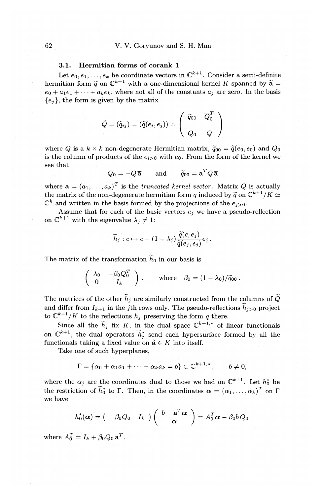# 3.1. Hermitian forms of corank 1

Let  $e_0, e_1, \ldots, e_k$  be coordinate vectors in  $\mathbb{C}^{k+1}$ . Consider a semi-definite hermitian form  $\tilde{q}$  on  $\mathbb{C}^{k+1}$  with a one-dimensional kernel K spanned by  $\tilde{a}$  =  $e_0 + a_1e_1 + \cdots + a_ke_k$ , where not all of the constants  $a_i$  are zero. In the basis  ${e_i}$ , the form is given by the matrix

$$
\widetilde{Q}=(\widetilde{q}_{ij})=(\widetilde{q}(e_i,e_j))=\left(\begin{array}{cc}\widetilde{q}_{00}&\overline{Q}_0^T\\&\\Q_0&Q\end{array}\right)
$$

where *Q* is a  $k \times k$  non-degenerate Hermitian matrix,  $\tilde{q}_{00} = \tilde{q}(e_0, e_0)$  and  $Q_0$ is the column of products of the  $e_{i>0}$  with  $e_0$ . From the form of the kernel we see that

$$
Q_0 = -Q\overline{\mathbf{a}}
$$
 and  $\widetilde{q}_{00} = \mathbf{a}^T Q\overline{\mathbf{a}}$ 

where  $\mathbf{a} = (a_1, \ldots, a_k)^T$  is the *truncated kernel vector*. Matrix *Q* is actually the matrix of the non-degenerate hermitian form *q* induced by  $\tilde{q}$  on  $\mathbb{C}^{k+1}/K \simeq$  $\mathbb{C}^k$  and written in the basis formed by the projections of the  $e_{i>0}$ .

Assume that for each of the basic vectors  $e_j$  we have a pseudo-reflection on  $\mathbb{C}^{k+1}$  with the eigenvalue  $\lambda_j \neq 1$ :

$$
\widetilde{h}_j: c \mapsto c - (1-\lambda_j) \frac{\widetilde{q}(c, e_j)}{\widetilde{q}(e_j, e_j)} e_j.
$$

The matrix of the transformation  $\tilde{h}_0$  in our basis is

$$
\left(\begin{array}{cc} \lambda_0 & -\beta_0 Q_0^T \\ 0 & I_k \end{array}\right) , \qquad \text{where} \quad \beta_0 = (1 - \lambda_0) / \widetilde{q}_{00} \, .
$$

The matrices of the other  $\tilde{h}_j$  are similarly constructed from the columns of  $\tilde{Q}$ and differ from  $I_{k+1}$  in the jth rows only. The pseudo-reflections  $\widetilde{h}_{j>0}$  project to  $\mathbb{C}^{k+1}/K$  to the reflections  $h_j$  preserving the form  $q$  there.

Since all the  $\tilde{h}_j$  fix K, in the dual space  $\mathbb{C}^{k+1,*}$  of linear functionals on  $\mathbb{C}^{k+1}$ , the dual operators  $\widetilde{h}_i^*$  send each hypersurface formed by all the functionals taking a fixed value on  $\widetilde{\mathbf{a}} \in K$  into itself.

Take one of such hyperplanes,

$$
\Gamma = \{ \alpha_0 + \alpha_1 a_1 + \cdots + \alpha_k a_k = b \} \subset \mathbb{C}^{k+1,*}, \qquad b \neq 0,
$$

where the  $\alpha_j$  are the coordinates dual to those we had on  $\mathbb{C}^{k+1}$ . Let  $h_0^*$  be the restriction of  $\tilde{h}_0^*$  to  $\Gamma$ . Then, in the coordinates  $\boldsymbol{\alpha} = (\alpha_1, \ldots, \alpha_k)^T$  on  $\Gamma$ we have

$$
h_0^*(\boldsymbol{\alpha}) = ( -\beta_0 Q_0 I_k ) ( \frac{b - \mathbf{a}^T \boldsymbol{\alpha}}{\boldsymbol{\alpha}} ) = A_0^T \boldsymbol{\alpha} - \beta_0 b Q_0
$$

where  $A_0^T = I_k + \beta_0 Q_0 \mathbf{a}^T$ .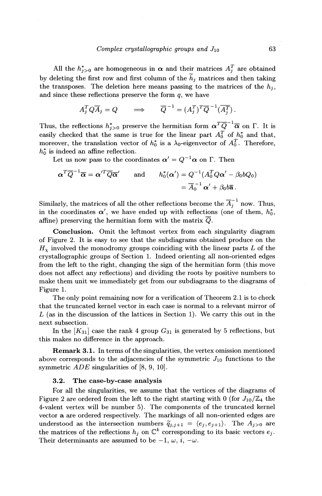All the  $h_{j>0}^*$  are homogeneous in  $\alpha$  and their matrices  $A_j^T$  are obtained by deleting the first row and first column of the  $\widetilde{h}_j$  matrices and then taking the transposes. The deletion here means passing to the matrices of the  $h_i$ , and since these reflections preserve the form *q,* we have

$$
A_j^T Q \overline{A}_j = Q \qquad \Longrightarrow \qquad \overline{Q}^{-1} = (A_j^T)^T \overline{Q}^{-1} (\overline{A_j^T}).
$$

Thus, the reflections  $h_{i>0}^*$  preserve the hermitian form  $\alpha^T \overline{Q}^{-1} \overline{\alpha}$  on  $\Gamma$ . It is easily checked that the same is true for the linear part  $A_0^T$  of  $h_0^*$  and that, moreover, the translation vector of  $h_0^*$  is a  $\lambda_0$ -eigenvector of  $A_0^T$ . Therefore,  $h_0^*$  is indeed an affine reflection.

Let us now pass to the coordinates  $\alpha' = Q^{-1} \alpha$  on  $\Gamma$ . Then

$$
\alpha^T \overline{Q}^{-1} \overline{\alpha} = \alpha'^T \overline{Q} \overline{\alpha}' \quad \text{and} \quad h_0^*(\alpha') = Q^{-1} (A_0^T Q \alpha' - \beta_0 b Q_0)
$$
  
=  $\overline{A}_0^{-1} \alpha' + \beta_0 b \overline{a}$ .

Similarly, the matrices of all the other reflections become the  $\overline{A}_i^{-1}$  now. Thus, in the coordinates  $\alpha'$ , we have ended up with reflections (one of them,  $h_0^*$ , affine) preserving the hermitian form with the matrix  $\overline{Q}$ .

Conclusion. Omit the leftmost vertex from each singularity diagram of Figure 2. It is easy to see that the subdiagrams obtained produce on the  $H<sub>x</sub>$  involved the monodromy groups coinciding with the linear parts L of the crystallographic groups of Section 1. Indeed orienting all non-oriented edges from the left to the right, changing the sign of the hermitian form (this move does not affect any reflections) and dividing the roots by positive numbers to make them unit we immediately get from our subdiagrams to the diagrams of Figure 1.

The only point remaining now for a verification of Theorem 2.1 is to check that the truncated kernel vector in each case is normal to a relevant mirror of *L* (as in the discussion of the lattices in Section 1). We carry this out in the next subsection.

In the  $[K_{31}]$  case the rank 4 group  $G_{31}$  is generated by 5 reflections, but this makes no difference in the approach.

Remark 3.1. In terms of the singularities, the vertex omission mentioned above corresponds to the adjacencies of the symmetric  $J_{10}$  functions to the symmetric *ADE* singularities of [8, 9, 10].

# 3.2. The case-by-case analysis

For all the singularities, we assume that the vertices of the diagrams of Figure 2 are ordered from the left to the right starting with 0 (for  $J_{10}/\mathbb{Z}_4$  the 4-valent vertex will be number 5). The components of the truncated kernel vector a are ordered respectively. The markings of all non-oriented edges are understood as the intersection numbers  $\tilde{q}_{j,j+1} = \langle e_j, e_{j+1} \rangle$ . The  $A_{j>0}$  are the matrices of the reflections  $h_j$  on  $\mathbb{C}^k$  corresponding to its basic vectors  $e_j$ . Their determinants are assumed to be  $-1, \omega, i, -\omega$ .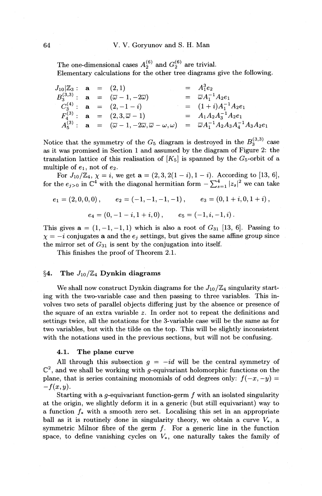The one-dimensional cases  $A_2^{(6)}$  and  $G_2^{(6)}$  are trivial. Elementary calculations for the other tree diagrams give the following.

 $J_{10}|\mathbb{Z}_3:$  **a** = (2, 1) =  $A_1^3e_2$ <br>  $B_3^{(3,3)}:$  **a** =  $(\overline{\omega}-1, -2\overline{\omega})$  =  $\overline{\omega}A_1^{-1}A_2e_1$  $C_3^{(4)}$ : **a** =  $(2,-1-i)$  =  $(1+i)A_1^{-1}A_2e_1$  $P_4^{(3)}$  : **a** =  $(2,3,\overline{\omega}-1)$  =  $A_1A_2A_3^{-1}A_2e_1$  $A_5^{(3)}: \mathbf{a} = (\overline{\omega} - 1, -2\overline{\omega}, \overline{\omega} - \omega, \omega) = \overline{\omega} A_1^{-1} A_2 A_3 A_4^{-1} A_3 A_2 e_1$ 

Notice that the symmetry of the  $G_5$  diagram is destroyed in the  $B_3^{(3,3)}$  case as it was promised in Section 1 and assumed by the diagram of Figure 2: the translation lattice of this realisation of  $[K_5]$  is spanned by the  $G_5$ -orbit of a multiple of  $e_1$ , not of  $e_2$ .

For  $J_{10}/\mathbb{Z}_4$ ,  $\chi = i$ , we get  $\mathbf{a} = (2, 3, 2(1-i), 1-i)$ . According to [13, 6], for the  $e_{j>0}$  in  $\mathbb{C}^4$  with the diagonal hermitian form  $-\sum_{s=1}^4 |z_s|^2$  we can take

$$
e_1 = (2,0,0,0), \t e_2 = (-1,-1,-1,-1), \t e_3 = (0,1+i,0,1+i),
$$
  

$$
e_4 = (0,-1-i,1+i,0), \t e_5 = (-1,i,-1,i).
$$

This gives  $a = (1, -1, -1, 1)$  which is also a root of  $G_{31}$  [13, 6]. Passing to  $\chi=-i$  conjugates **a** and the  $e_j$  settings, but gives the same affine group since the mirror set of  $G_{31}$  is sent by the conjugation into itself.

This finishes the proof of Theorem 2.1.

# §4. The  $J_{10}/\mathbb{Z}_4$  Dynkin diagrams

We shall now construct Dynkin diagrams for the  $J_{10}/\mathbb{Z}_4$  singularity starting with the two-variable case and then passing to three variables. This involves two sets of parallel objects differing just by the absence or presence of the square of an extra variable *z.* In order not to repeat the definitions and settings twice, all the notations for the 3-variable *case* will be the same as for two variables, but with the tilde on the top. This will be slightly inconsistent with the notations used in the previous sections, but will not be confusing.

#### 4.1. The plane curve

All through this subsection  $g = -id$  will be the central symmetry of  $\mathbb{C}^2$ , and we shall be working with g-equivariant holomorphic functions on the plane, that is series containing monomials of odd degrees only:  $f(-x, -y) =$  $-f(x,y)$ .

Starting with a g-equivariant function-germ  $f$  with an isolated singularity at the origin, we slightly deform it in a generic (but still equivariant) way to a function *f\** with a smooth zero set. Localising this set in an appropriate ball as it is routinely done in singularity theory, we obtain a curve  $V_*$ , a symmetric Milnor fibre of the germ  $f$ . For a generic line in the function space, to define vanishing cycles on  $V_*$ , one naturally takes the family of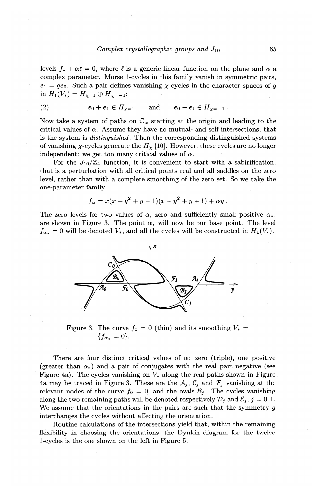levels  $f_* + \alpha \ell = 0$ , where  $\ell$  is a generic linear function on the plane and  $\alpha$  a complex parameter. Morse !-cycles in this family vanish in symmetric pairs,  $e_1 = ge_0$ . Such a pair defines vanishing x-cycles in the character spaces of g in  $H_1(V_*) = H_{\chi=1} \oplus H_{\chi=-1}$ :

(2) 
$$
e_0 + e_1 \in H_{\chi=1}
$$
 and  $e_0 - e_1 \in H_{\chi=-1}$ .

Now take a system of paths on  $\mathbb{C}_{\alpha}$  starting at the origin and leading to the critical values of  $\alpha$ . Assume they have no mutual- and self-intersections, that is the system is *distinguished.* Then the corresponding distinguished systems of vanishing  $\chi$ -cycles generate the  $H_{\chi}$  [10]. However, these cycles are no longer independent: we get too many critical values of  $\alpha$ .

For the  $J_{10}/\mathbb{Z}_4$  function, it is convenient to start with a sabirification, that is a perturbation with all critical points real and all saddles on the zero level, rather than with a complete smoothing of the zero set. So we take the one-parameter family

$$
f_{\alpha} = x(x + y^2 + y - 1)(x - y^2 + y + 1) + \alpha y.
$$

The zero levels for two values of  $\alpha$ , zero and sufficiently small positive  $\alpha_*$ , are shown in Figure 3. The point  $\alpha_*$  will now be our base point. The level  $f_{\alpha_{*}} = 0$  will be denoted  $V_{*}$ , and all the cycles will be constructed in  $H_1(V_*)$ .



Figure 3. The curve  $f_0 = 0$  (thin) and its smoothing  $V_* =$  ${f_{\alpha_{*}} = 0}.$ 

There are four distinct critical values of  $\alpha$ : zero (triple), one positive (greater than  $\alpha_*$ ) and a pair of conjugates with the real part negative (see Figure 4a). The cycles vanishing on  $V_*$  along the real paths shown in Figure 4a may be traced in Figure 3. These are the  $A_i$ ,  $C_i$  and  $\mathcal{F}_i$  vanishing at the relevant nodes of the curve  $f_0 = 0$ , and the ovals  $B_i$ . The cycles vanishing along the two remaining paths will be denoted respectively  $\mathcal{D}_i$  and  $\mathcal{E}_i$ ,  $j = 0, 1$ . We assume that the orientations in the pairs are such that the symmetry  $q$ interchanges the cycles without affecting the orientation.

Routine calculations of the intersections yield that, within the remaining flexibility in choosing the orientations, the Dynkin diagram for the twelve !-cycles is the one shown on the left in Figure 5.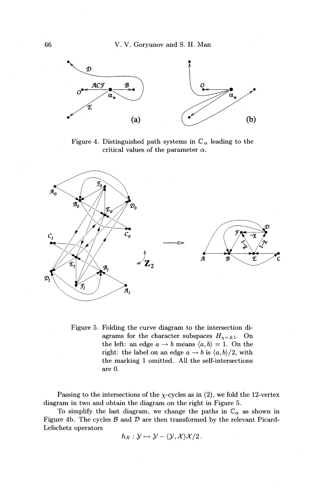

Figure 4. Distinguished path systems in  $\mathbb{C}_{\alpha}$  leading to the critical values of the parameter  $\alpha$ .



Figure 5. Folding the curve diagram to the intersection diagrams for the character subspaces  $H_{\chi=\pm 1}$ . On the left: an edge  $a \rightarrow b$  means  $\langle a, b \rangle = 1$ . On the right: the label on an edge  $a \rightarrow b$  is  $\langle a, b \rangle /2$ , with the marking 1 omitted. All the self-intersections are 0.

Passing to the intersections of the  $\chi$ -cycles as in (2), we fold the 12-vertex diagram in two and obtain the diagram on the right in Figure 5.

To simplify the last diagram, we change the paths in  $\mathbb{C}_{\alpha}$  as shown in Figure 4b. The cycles  $\mathcal B$  and  $\mathcal D$  are then transformed by the relevant Picard-Lefschetz operators

$$
h_{\mathcal{X}}:\mathcal{Y}\mapsto\mathcal{Y}-\langle\mathcal{Y},\mathcal{X}\rangle\mathcal{X}/2.
$$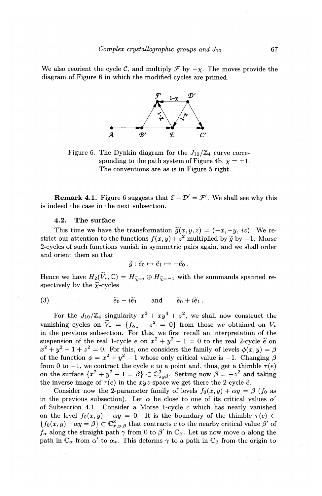We also reorient the cycle C, and multiply  $\mathcal F$  by  $-\chi$ . The moves provide the diagram of Figure 6 in which the modified cycles are primed .



Figure 6. The Dynkin diagram for the  $J_{10}/\mathbb{Z}_4$  curve corresponding to the path system of Figure 4b,  $\chi = \pm 1$ . The conventions are *as* is in Figure 5 right.

**Remark 4.1.** Figure 6 suggests that  $\mathcal{E} - \mathcal{D}' = \mathcal{F}'$ . We shall see why this is indeed the case in the next subsection.

## 4.2. The surface

This time we have the transformation  $\tilde{g}(x, y, z) = (-x, -y, iz)$ . We restrict our attention to the functions  $f(x, y) + z^2$  multiplied by  $\tilde{g}$  by  $-1$ . Morse 2-cycles of such functions vanish in symmetric pairs again, and we shall order and orient them so that

$$
\widetilde{g}:\widetilde{e}_0\mapsto \widetilde{e}_1\mapsto -\widetilde{e}_0\,.
$$

Hence we have  $H_2(\widetilde{V}_*,\mathbb{C}) = H_{\widetilde{\chi} = i} \oplus H_{\widetilde{\chi} = -1}$  with the summands spanned respectively by the  $\tilde{\chi}$ -cycles

(3) 
$$
\widetilde{e}_0 - i \widetilde{e}_1
$$
 and  $\widetilde{e}_0 + i \widetilde{e}_1$ .

For the  $J_{10}/\mathbb{Z}_4$  singularity  $x^3 + xy^4 + z^2$ , we shall now construct the vanishing cycles on  $\widetilde{V}_* = \{f_{\alpha_*} + z^2 = 0\}$  from those we obtained on  $V_*$ in the previous subsection. For this, we first recall an interpretation of the suspension of the real 1-cycle  $e$  on  $x^2 + y^2 - 1 = 0$  to the real 2-cycle  $\tilde{e}$  on  $x^2 + y^2 - 1 + z^2 = 0$ . For this, one considers the family of levels  $\phi(x, y) = \beta$ of the function  $\phi = x^2 + y^2 - 1$  whose only critical value is -1. Changing  $\beta$ from 0 to  $-1$ , we contract the cycle *e* to a point and, thus, get a thimble  $\tau(e)$ on the surface  $\{x^2 + y^2 - 1 = \beta\} \subset \mathbb{C}^3_{xy\beta}$ . Setting now  $\beta = -z^2$  and taking the inverse image of  $\tau(e)$  in the xyz-space we get there the 2-cycle  $\tilde{e}$ .

Consider now the 2-parameter family of levels  $f_0(x, y) + \alpha y = \beta$  ( $f_0$  as in the previous subsection). Let  $\alpha$  be close to one of its critical values  $\alpha'$ of Subsection 4.1. Consider a Morse 1-cycle c which has nearly vanished on the level  $f_0(x, y) + \alpha y = 0$ . It is the boundary of the thimble  $\tau(c) \subset$  ${f_0(x,y) + \alpha y = \beta} \subset \mathbb{C}^3_{x,y,\beta}$  that contracts c to the nearby critical value  $\beta'$  of  $f_{\alpha}$  along the straight path  $\gamma$  from 0 to  $\beta'$  in  $\mathbb{C}_{\beta}$ . Let us now move  $\alpha$  along the path in  $\mathbb{C}_{\alpha}$  from  $\alpha'$  to  $\alpha_{*}$ . This deforms  $\gamma$  to a path in  $\mathbb{C}_{\beta}$  from the origin to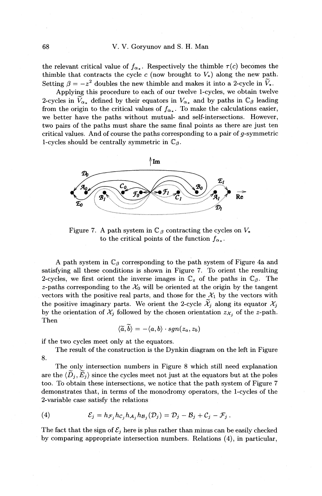#### 68 V. V. Goryunov and S. H. Man

the relevant critical value of  $f_{\alpha*}$ . Respectively the thimble  $\tau(c)$  becomes the thimble that contracts the cycle c (now brought to  $V_*$ ) along the new path. Setting  $\beta = -z^2$  doubles the new thimble and makes it into a 2-cycle in  $\tilde{V}_*$ .

Applying this procedure to each of our twelve 1-cycles, we obtain twelve 2-cycles in  $\widetilde{V}_{\alpha_{*}}$  defined by their equators in  $V_{\alpha_{*}}$  and by paths in  $\mathbb{C}_{\beta}$  leading from the origin to the critical values of  $f_{\alpha_{*}}$ . To make the calculations easier, we better have the paths without mutual- and self-intersections. However, two pairs of the paths must share the same final points as there are just ten critical values. And of course the paths corresponding to a pair of g-symmetric 1-cycles should be centrally symmetric in  $\mathbb{C}_\beta$ .



Figure 7. A path system in  $\mathbb{C}_{\beta}$  contracting the cycles on  $V_*$ to the critical points of the function  $f_{\alpha_*}$ .

A path system in  $\mathbb{C}_{\beta}$  corresponding to the path system of Figure 4a and satisfying all these conditions is shown in Figure 7. To orient the resulting 2-cycles, we first orient the inverse images in  $\mathbb{C}_z$  of the paths in  $\mathbb{C}_\beta$ . The z-paths corresponding to the  $\mathcal{X}_0$  will be oriented at the origin by the tangent vectors with the positive real parts, and those for the  $\mathcal{X}_1$  by the vectors with the positive imaginary parts. We orient the 2-cycle  $\widetilde{\mathcal{X}}_j$  along its equator  $\mathcal{X}_j$ by the orientation of  $\mathcal{X}_j$  followed by the chosen orientation  $z_{\mathcal{X}_j}$  of the z-path. Then

$$
\langle \widetilde{a}, \widetilde{b} \rangle = -\langle a,b \rangle \cdot sgn(z_a,z_b)
$$

if the two cycles meet only at the equators.

The result of the construction is the Dynkin diagram on the left in Figure 8.

The only intersection numbers in Figure 8 which still need explanation are the  $\langle \tilde{D}_j, \tilde{E}_j \rangle$  since the cycles meet not just at the equators but at the poles too. To obtain these intersections, we notice that the path system of Figure 7 demonstrates that, in terms of the monodromy operators, the 1-cycles of the 2-variable case satisfy the relations

(4) 
$$
\mathcal{E}_j = h_{\mathcal{F}_j} h_{\mathcal{C}_j} h_{\mathcal{A}_j} h_{\mathcal{B}_j}(\mathcal{D}_j) = \mathcal{D}_j - \mathcal{B}_j + \mathcal{C}_j - \mathcal{F}_j.
$$

The fact that the sign of  $\mathcal{E}_j$  here is plus rather than minus can be easily checked by comparing appropriate intersection numbers. Relations (4), in particular,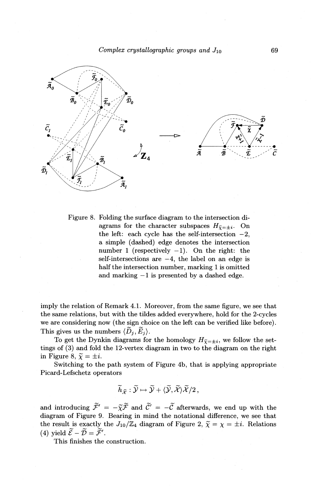*Complex crystallographic groups and J10* 



Figure 8. Folding the surface diagram to the intersection diagrams for the character subspaces  $H_{\tilde{\chi}=\pm i}$ . On the left: each cycle has the self-intersection  $-2$ , a simple (dashed) edge denotes the intersection number 1 (respectively  $-1$ ). On the right: the self-intersections are  $-4$ , the label on an edge is half the intersection number, marking 1 is omitted and marking  $-1$  is presented by a dashed edge.

imply the relation of Remark 4.1. Moreover, from the same figure, we see that the same relations, but with the tildes added everywhere, hold for the 2-cycles we are considering now (the sign choice on the left can be verified like before) . This gives us the numbers  $\langle \tilde{D}_j, \tilde{E}_j \rangle$ .

To get the Dynkin diagrams for the homology  $H_{\tilde{\chi}=\pm i}$ , we follow the settings of (3) and fold the 12-vertex diagram in two to the diagram on the right in Figure 8,  $\widetilde{\chi} = \pm i$ .

Switching to the path system of Figure 4b, that is applying appropriate Picard-Lefschetz operators

$$
\widetilde{h}_{\widetilde{\mathcal{X}}}:\widetilde{\mathcal{Y}}\mapsto\widetilde{\mathcal{Y}}+\langle\widetilde{\mathcal{Y}},\widetilde{\mathcal{X}}\rangle\widetilde{\mathcal{X}}/2\,,
$$

and introducing  $\tilde{\mathcal{F}}' = -\tilde{\chi}\tilde{\mathcal{F}}$  and  $\tilde{\mathcal{C}}' = -\tilde{\mathcal{C}}$  afterwards, we end up with the diagram of Figure 9. Bearing in mind the notational difference, we see that the result is exactly the  $J_{10}/\mathbb{Z}_4$  diagram of Figure 2,  $\widetilde{\chi} = \chi = \pm i$ . Relations (4) yield  $\widetilde{\mathcal{E}} - \widetilde{\mathcal{D}} = \widetilde{\mathcal{F}}'$ .

This finishes the construction.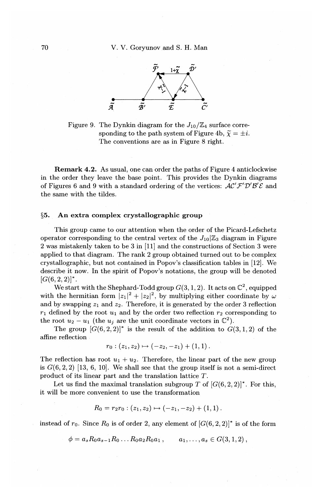

Figure 9. The Dynkin diagram for the  $J_{10}/\mathbb{Z}_4$  surface corresponding to the path system of Figure 4b,  $\tilde{\chi} = \pm i$ . The conventions are as in Figure 8 right.

Remark 4.2. As usual, one can order the paths of Figure 4 anticlockwise in the order they leave the base point. This provides the Dynkin diagrams of Figures 6 and 9 with a standard ordering of the vertices:  $AC'F'D'B'E$  and the same with the tildes.

## §5. An extra complex crystallographic group

This group came to our attention when the order of the Picard-Lefschetz operator corresponding to the central vertex of the  $J_{10}|\mathbb{Z}_3$  diagram in Figure 2 was mistakenly taken to be 3 in [11] and the constructions of Section 3 were applied to that diagram. The rank 2 group obtained turned out to be complex crystallographic, but not contained in Popov's classification tables in [12]. We describe it now. In the spirit of Popov's notations, the group will be denoted  $[G(6, 2, 2)]^*$ .

We start with the Shephard-Todd group  $G(3, 1, 2)$ . It acts on  $\mathbb{C}^2$ , equipped with the hermitian form  $|z_1|^2 + |z_2|^2$ , by multiplying either coordinate by  $\omega$ and by swapping  $z_1$  and  $z_2$ . Therefore, it is generated by the order 3 reflection  $r_1$  defined by the root  $u_1$  and by the order two reflection  $r_2$  corresponding to the root  $u_2 - u_1$  (the  $u_j$  are the unit coordinate vectors in  $\mathbb{C}^2$ ).

The group  $[G(6, 2, 2)]^*$  is the result of the addition to  $G(3, 1, 2)$  of the affine reflection

$$
r_0:(z_1,z_2)\mapsto (-z_2,-z_1)+(1,1).
$$

The reflection has root  $u_1 + u_2$ . Therefore, the linear part of the new group is  $G(6, 2, 2)$  [13, 6, 10]. We shall see that the group itself is not a semi-direct product of its linear part and the translation lattice *T.* 

Let us find the maximal translation subgroup *T* of  $[G(6, 2, 2)]^*$ . For this, it will be more convenient to use the transformation

$$
R_0 = r_2r_0 : (z_1, z_2) \mapsto (-z_1, -z_2) + (1, 1).
$$

instead of  $r_0$ . Since  $R_0$  is of order 2, any element of  $[G(6, 2, 2)]^*$  is of the form

$$
\phi = a_s R_0 a_{s-1} R_0 \dots R_0 a_2 R_0 a_1 , \qquad a_1, \dots, a_s \in G(3,1,2) ,
$$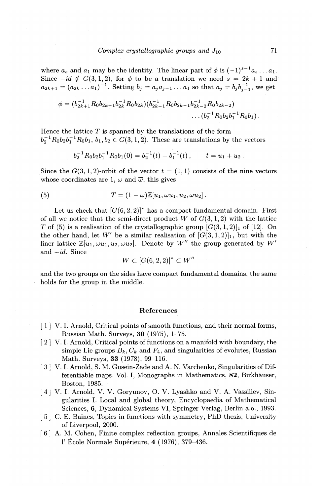where  $a_s$  and  $a_1$  may be the identity. The linear part of  $\phi$  is  $(-1)^{s-1}a_s \dots a_1$ . Since  $-id \notin G(3, 1, 2)$ , for  $\phi$  to be a translation we need  $s = 2k + 1$  and  $a_{2k+1} = (a_{2k} \ldots a_1)^{-1}$ . Setting  $b_j = a_j a_{j-1} \ldots a_1$  so that  $a_j = b_j b_{j-1}^{-1}$ , we get

$$
\phi = (b_{2k+1}^{-1} R_0 b_{2k+1} b_{2k}^{-1} R_0 b_{2k}) (b_{2k-1}^{-1} R_0 b_{2k-1} b_{2k-2}^{-1} R_0 b_{2k-2}) \dots (b_2^{-1} R_0 b_2 b_1^{-1} R_0 b_1).
$$

Hence the lattice  $T$  is spanned by the translations of the form  $b_2^{-1}R_0b_2b_1^{-1}R_0b_1$ ,  $b_1, b_2 \in G(3, 1, 2)$ . These are translations by the vectors

$$
b_2^{-1}R_0b_2b_1^{-1}R_0b_1(0) = b_2^{-1}(t) - b_1^{-1}(t), \qquad t = u_1 + u_2.
$$

Since the  $G(3, 1, 2)$ -orbit of the vector  $t = (1, 1)$  consists of the nine vectors whose coordinates are 1,  $\omega$  and  $\overline{\omega}$ , this gives

(5) 
$$
T = (1 - \omega) \mathbb{Z}[u_1, \omega u_1, u_2, \omega u_2].
$$

Let us check that  $[G(6, 2, 2)]^*$  has a compact fundamental domain. First of all we notice that the semi-direct product  $W$  of  $G(3,1,2)$  with the lattice *T* of (5) is a realisation of the crystallographic group  $[G(3, 1, 2)]_1$  of [12]. On the other hand, let W' be a similar realisation of  $[G(3,1,2)]_1$ , but with the finer lattice  $\mathbb{Z}[u_1, \omega u_1, u_2, \omega u_2]$ . Denote by W'' the group generated by W' and *-id.* Since

$$
W\subset \left[G(6,2,2)\right]^{*}\subset W''
$$

and the two groups on the sides have compact fundamental domains, the same holds for the group in the middle.

### References

- [ **1]** V.I. Arnold, Critical points of smooth functions, and their normal forms, Russian Math. Surveys, **30** (1975), 1-75.
- [ 2] V.I. Arnold, Critical points of functions on a manifold with boundary, the simple Lie groups  $B_k$ ,  $C_k$  and  $F_4$ , and singularities of evolutes, Russian Math. Surveys, **33** (1978), 99-116.
- [3] V. I. Arnold, S. M. Gusein-Zade and A. N. Varchenko, Singularities of Differentiable maps. Vol. I, Monographs in Mathematics, 82, Birkhäuser, Boston, 1985.
- [ 4] V. I. Arnold, V. V. Goryunov, 0. V. Lyashko and V. A. Vassiliev, Singularities I. Local and global theory, Encyclopaedia of Mathematical Sciences, **6,** Dynamical Systems VI, Springer Verlag, Berlin a.o., 1993.
- [ 5] C. E. Baines, Topics in functions with symmetry, PhD thesis, University of Liverpool, 2000.
- [ 6] A. M. Cohen, Finite complex reflection groups, Annales Scientifiques de **l'** Ecole Normale Superieure, **4** (1976), 379-436.